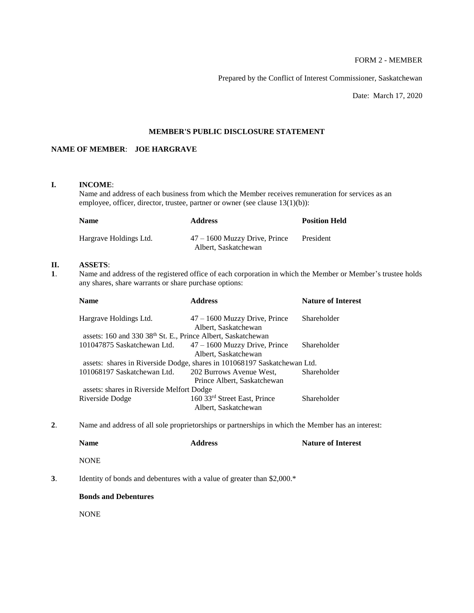# FORM 2 - MEMBER

Prepared by the Conflict of Interest Commissioner, Saskatchewan

Date: March 17, 2020

#### **MEMBER'S PUBLIC DISCLOSURE STATEMENT**

# **NAME OF MEMBER**: **JOE HARGRAVE**

#### **I. INCOME**:

Name and address of each business from which the Member receives remuneration for services as an employee, officer, director, trustee, partner or owner (see clause 13(1)(b)):

| <b>Name</b>            | <b>Address</b>                                          | <b>Position Held</b> |
|------------------------|---------------------------------------------------------|----------------------|
| Hargrave Holdings Ltd. | $47 - 1600$ Muzzy Drive, Prince<br>Albert, Saskatchewan | President            |

## **II. ASSETS**:

**1**. Name and address of the registered office of each corporation in which the Member or Member's trustee holds any shares, share warrants or share purchase options:

| <b>Address</b>                                          | <b>Nature of Interest</b>                                                                                                                                                             |
|---------------------------------------------------------|---------------------------------------------------------------------------------------------------------------------------------------------------------------------------------------|
| $47 - 1600$ Muzzy Drive, Prince<br>Albert, Saskatchewan | Shareholder                                                                                                                                                                           |
|                                                         |                                                                                                                                                                                       |
| $47 - 1600$ Muzzy Drive, Prince                         | Shareholder                                                                                                                                                                           |
| Albert, Saskatchewan                                    |                                                                                                                                                                                       |
|                                                         |                                                                                                                                                                                       |
| 202 Burrows Avenue West,                                | Shareholder                                                                                                                                                                           |
| Prince Albert, Saskatchewan                             |                                                                                                                                                                                       |
|                                                         |                                                                                                                                                                                       |
| 160 33rd Street East, Prince<br>Albert, Saskatchewan    | Shareholder                                                                                                                                                                           |
|                                                         | assets: 160 and 330 38th St. E., Prince Albert, Saskatchewan<br>assets: shares in Riverside Dodge, shares in 101068197 Saskatchewan Ltd.<br>assets: shares in Riverside Melfort Dodge |

**2**. Name and address of all sole proprietorships or partnerships in which the Member has an interest:

|    | <b>Name</b>                 | <b>Address</b>                                                          | <b>Nature of Interest</b> |
|----|-----------------------------|-------------------------------------------------------------------------|---------------------------|
|    | <b>NONE</b>                 |                                                                         |                           |
| 3. |                             | Identity of bonds and debentures with a value of greater than $2,000.*$ |                           |
|    | <b>Bonds and Debentures</b> |                                                                         |                           |

NONE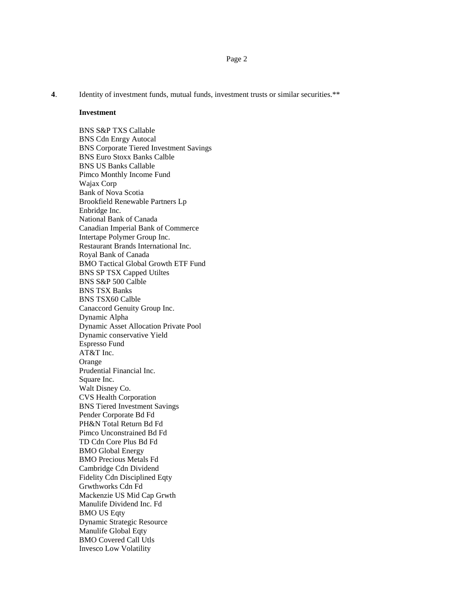**4**. Identity of investment funds, mutual funds, investment trusts or similar securities.\*\*

#### **Investment**

BNS S&P TXS Callable BNS Cdn Enrgy Autocal BNS Corporate Tiered Investment Savings BNS Euro Stoxx Banks Calble BNS US Banks Callable Pimco Monthly Income Fund Wajax Corp Bank of Nova Scotia Brookfield Renewable Partners Lp Enbridge Inc. National Bank of Canada Canadian Imperial Bank of Commerce Intertape Polymer Group Inc. Restaurant Brands International Inc. Royal Bank of Canada BMO Tactical Global Growth ETF Fund BNS SP TSX Capped Utiltes BNS S&P 500 Calble BNS TSX Banks BNS TSX60 Calble Canaccord Genuity Group Inc. Dynamic Alpha Dynamic Asset Allocation Private Pool Dynamic conservative Yield Espresso Fund AT&T Inc. Orange Prudential Financial Inc. Square Inc. Walt Disney Co. CVS Health Corporation BNS Tiered Investment Savings Pender Corporate Bd Fd PH&N Total Return Bd Fd Pimco Unconstrained Bd Fd TD Cdn Core Plus Bd Fd BMO Global Energy BMO Precious Metals Fd Cambridge Cdn Dividend Fidelity Cdn Disciplined Eqty Grwthworks Cdn Fd Mackenzie US Mid Cap Grwth Manulife Dividend Inc. Fd BMO US Eqty Dynamic Strategic Resource Manulife Global Eqty BMO Covered Call Utls Invesco Low Volatility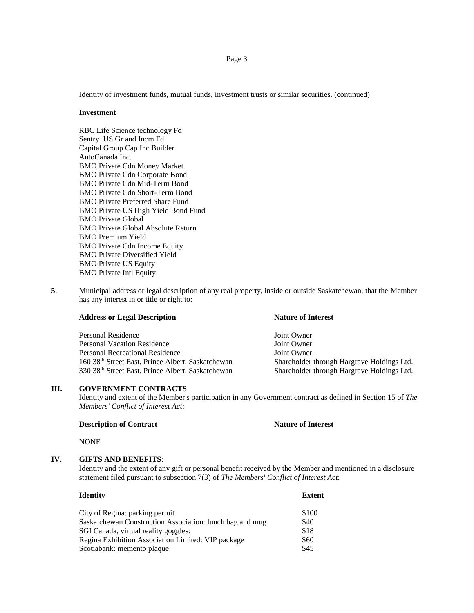Page 3

Identity of investment funds, mutual funds, investment trusts or similar securities. (continued)

#### **Investment**

RBC Life Science technology Fd Sentry US Gr and Incm Fd Capital Group Cap Inc Builder AutoCanada Inc. BMO Private Cdn Money Market BMO Private Cdn Corporate Bond BMO Private Cdn Mid-Term Bond BMO Private Cdn Short-Term Bond BMO Private Preferred Share Fund BMO Private US High Yield Bond Fund BMO Private Global BMO Private Global Absolute Return BMO Premium Yield BMO Private Cdn Income Equity BMO Private Diversified Yield BMO Private US Equity BMO Private Intl Equity

**5**. Municipal address or legal description of any real property, inside or outside Saskatchewan, that the Member has any interest in or title or right to:

| <b>Address or Legal Description</b> | <b>Nature of Interest</b> |  |
|-------------------------------------|---------------------------|--|
| Personal Residence                  | Joint Owner               |  |
| <b>Personal Vacation Residence</b>  | Joint Owner               |  |

Personal Recreational Residence Joint Owner 160 38th Street East, Prince Albert, Saskatchewan Shareholder through Hargrave Holdings Ltd. 330 38th Street East, Prince Albert, Saskatchewan Shareholder through Hargrave Holdings Ltd.

#### **III. GOVERNMENT CONTRACTS**

Identity and extent of the Member's participation in any Government contract as defined in Section 15 of *The Members' Conflict of Interest Act*:

#### **Description of Contract Nature of Interest**

NONE

#### **IV. GIFTS AND BENEFITS**:

Identity and the extent of any gift or personal benefit received by the Member and mentioned in a disclosure statement filed pursuant to subsection 7(3) of *The Members' Conflict of Interest Act*:

| <b>Identity</b>                                          | <b>Extent</b> |
|----------------------------------------------------------|---------------|
| City of Regina: parking permit                           | \$100         |
| Saskatchewan Construction Association: lunch bag and mug | \$40          |
| SGI Canada, virtual reality goggles:                     | \$18          |
| Regina Exhibition Association Limited: VIP package       | \$60          |
| Scotiabank: memento plaque                               | \$45          |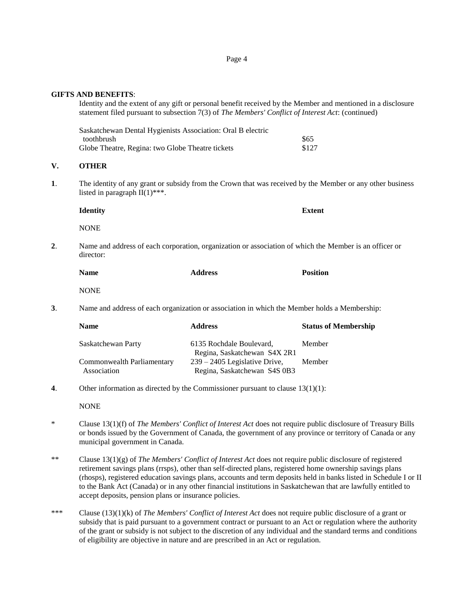Page 4

**GIFTS AND BENEFITS**:

Identity and the extent of any gift or personal benefit received by the Member and mentioned in a disclosure statement filed pursuant to subsection 7(3) of *The Members' Conflict of Interest Act*: (continued)

| Saskatchewan Dental Hygienists Association: Oral B electric |       |
|-------------------------------------------------------------|-------|
| toothbrush                                                  | \$65  |
| Globe Theatre, Regina: two Globe Theatre tickets            | \$127 |

#### **V. OTHER**

**1**. The identity of any grant or subsidy from the Crown that was received by the Member or any other business listed in paragraph  $II(1)$ \*\*\*.

**Identity Extent** NONE

**2**. Name and address of each corporation, organization or association of which the Member is an officer or director:

| <b>Name</b> | <b>Address</b> | <b>Position</b> |
|-------------|----------------|-----------------|
|             |                |                 |

**NONE** 

**3**. Name and address of each organization or association in which the Member holds a Membership:

| <b>Name</b>                | <b>Address</b>                                                  | <b>Status of Membership</b> |
|----------------------------|-----------------------------------------------------------------|-----------------------------|
| Saskatchewan Party         | 6135 Rochdale Boulevard,                                        | Member                      |
| Commonwealth Parliamentary | Regina, Saskatchewan S4X 2R1<br>$239 - 2405$ Legislative Drive, | Member                      |
| Association                | Regina, Saskatchewan S4S 0B3                                    |                             |

**4**. Other information as directed by the Commissioner pursuant to clause 13(1)(1):

NONE

- \* Clause 13(1)(f) of *The Members' Conflict of Interest Act* does not require public disclosure of Treasury Bills or bonds issued by the Government of Canada, the government of any province or territory of Canada or any municipal government in Canada.
- \*\* Clause 13(1)(g) of *The Members' Conflict of Interest Act* does not require public disclosure of registered retirement savings plans (rrsps), other than self-directed plans, registered home ownership savings plans (rhosps), registered education savings plans, accounts and term deposits held in banks listed in Schedule I or II to the Bank Act (Canada) or in any other financial institutions in Saskatchewan that are lawfully entitled to accept deposits, pension plans or insurance policies.
- \*\*\* Clause (13)(1)(k) of *The Members' Conflict of Interest Act* does not require public disclosure of a grant or subsidy that is paid pursuant to a government contract or pursuant to an Act or regulation where the authority of the grant or subsidy is not subject to the discretion of any individual and the standard terms and conditions of eligibility are objective in nature and are prescribed in an Act or regulation.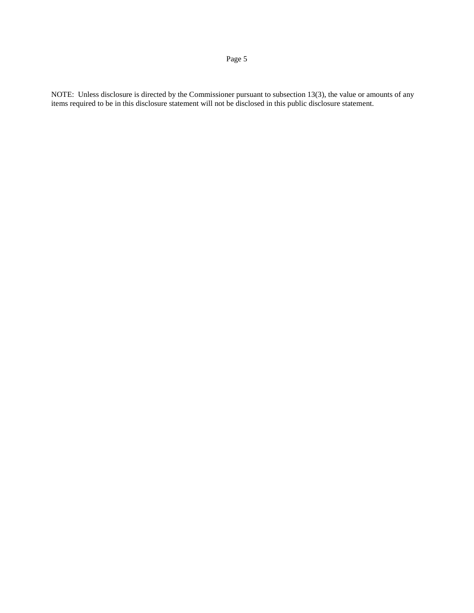# Page 5

NOTE: Unless disclosure is directed by the Commissioner pursuant to subsection 13(3), the value or amounts of any items required to be in this disclosure statement will not be disclosed in this public disclosure statement.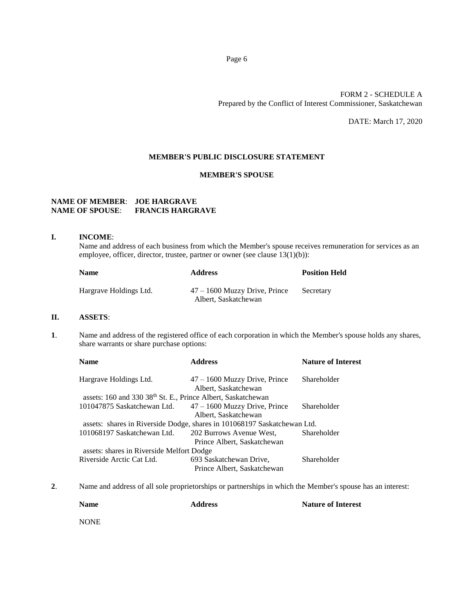#### FORM 2 - SCHEDULE A Prepared by the Conflict of Interest Commissioner, Saskatchewan

DATE: March 17, 2020

#### **MEMBER'S PUBLIC DISCLOSURE STATEMENT**

#### **MEMBER'S SPOUSE**

## **NAME OF MEMBER**: **JOE HARGRAVE NAME OF SPOUSE**: **FRANCIS HARGRAVE**

#### **I. INCOME**:

Name and address of each business from which the Member's spouse receives remuneration for services as an employee, officer, director, trustee, partner or owner (see clause 13(1)(b)):

| <b>Name</b>            | <b>Address</b>                                          | <b>Position Held</b> |
|------------------------|---------------------------------------------------------|----------------------|
| Hargrave Holdings Ltd. | $47 - 1600$ Muzzy Drive, Prince<br>Albert, Saskatchewan | Secretary            |

#### **II. ASSETS**:

**1**. Name and address of the registered office of each corporation in which the Member's spouse holds any shares, share warrants or share purchase options:

| <b>Name</b>                                                              | <b>Address</b>                                                           | <b>Nature of Interest</b> |
|--------------------------------------------------------------------------|--------------------------------------------------------------------------|---------------------------|
| Hargrave Holdings Ltd.                                                   | $47 - 1600$ Muzzy Drive, Prince                                          | Shareholder               |
|                                                                          | Albert, Saskatchewan                                                     |                           |
| assets: 160 and 330 38 <sup>th</sup> St. E., Prince Albert, Saskatchewan |                                                                          |                           |
| 101047875 Saskatchewan Ltd.                                              | $47 - 1600$ Muzzy Drive, Prince                                          | Shareholder               |
|                                                                          | Albert, Saskatchewan                                                     |                           |
|                                                                          | assets: shares in Riverside Dodge, shares in 101068197 Saskatchewan Ltd. |                           |
| 101068197 Saskatchewan Ltd.                                              | 202 Burrows Avenue West,                                                 | Shareholder               |
|                                                                          | Prince Albert, Saskatchewan                                              |                           |
| assets: shares in Riverside Melfort Dodge                                |                                                                          |                           |
| Riverside Arctic Cat Ltd.                                                | 693 Saskatchewan Drive,                                                  | Shareholder               |
|                                                                          | Prince Albert, Saskatchewan                                              |                           |

**2**. Name and address of all sole proprietorships or partnerships in which the Member's spouse has an interest:

| <b>Name</b> | <b>Address</b> | <b>Nature of Interest</b> |
|-------------|----------------|---------------------------|
| <b>NONE</b> |                |                           |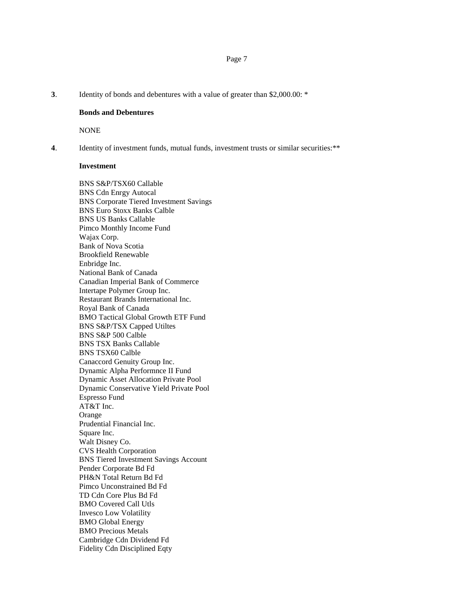#### **3**. Identity of bonds and debentures with a value of greater than \$2,000.00: \*

#### **Bonds and Debentures**

NONE

**4**. Identity of investment funds, mutual funds, investment trusts or similar securities:\*\*

#### **Investment**

BNS S&P/TSX60 Callable BNS Cdn Enrgy Autocal BNS Corporate Tiered Investment Savings BNS Euro Stoxx Banks Calble BNS US Banks Callable Pimco Monthly Income Fund Wajax Corp. Bank of Nova Scotia Brookfield Renewable Enbridge Inc. National Bank of Canada Canadian Imperial Bank of Commerce Intertape Polymer Group Inc. Restaurant Brands International Inc. Royal Bank of Canada BMO Tactical Global Growth ETF Fund BNS S&P/TSX Capped Utiltes BNS S&P 500 Calble BNS TSX Banks Callable BNS TSX60 Calble Canaccord Genuity Group Inc. Dynamic Alpha Performnce II Fund Dynamic Asset Allocation Private Pool Dynamic Conservative Yield Private Pool Espresso Fund AT&T Inc. Orange Prudential Financial Inc. Square Inc. Walt Disney Co. CVS Health Corporation BNS Tiered Investment Savings Account Pender Corporate Bd Fd PH&N Total Return Bd Fd Pimco Unconstrained Bd Fd TD Cdn Core Plus Bd Fd BMO Covered Call Utls Invesco Low Volatility BMO Global Energy BMO Precious Metals Cambridge Cdn Dividend Fd Fidelity Cdn Disciplined Eqty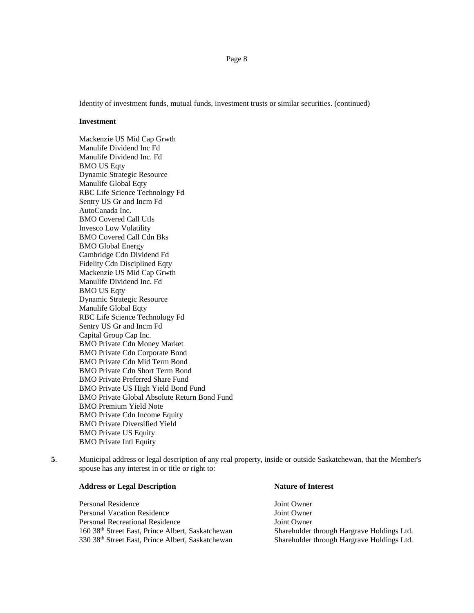Identity of investment funds, mutual funds, investment trusts or similar securities. (continued)

#### **Investment**

Mackenzie US Mid Cap Grwth Manulife Dividend Inc Fd Manulife Dividend Inc. Fd BMO US Eqty Dynamic Strategic Resource Manulife Global Eqty RBC Life Science Technology Fd Sentry US Gr and Incm Fd AutoCanada Inc. BMO Covered Call Utls Invesco Low Volatility BMO Covered Call Cdn Bks BMO Global Energy Cambridge Cdn Dividend Fd Fidelity Cdn Disciplined Eqty Mackenzie US Mid Cap Grwth Manulife Dividend Inc. Fd BMO US Eqty Dynamic Strategic Resource Manulife Global Eqty RBC Life Science Technology Fd Sentry US Gr and Incm Fd Capital Group Cap Inc. BMO Private Cdn Money Market BMO Private Cdn Corporate Bond BMO Private Cdn Mid Term Bond BMO Private Cdn Short Term Bond BMO Private Preferred Share Fund BMO Private US High Yield Bond Fund BMO Private Global Absolute Return Bond Fund BMO Premium Yield Note BMO Private Cdn Income Equity BMO Private Diversified Yield BMO Private US Equity BMO Private Intl Equity

**5**. Municipal address or legal description of any real property, inside or outside Saskatchewan, that the Member's spouse has any interest in or title or right to:

# **Address or Legal Description Nature of Interest**

Personal Residence and American Solution of The Joint Owner Personal Vacation Residence The Secret Assembly Joint Owner Personal Recreational Residence Joint Owner 160 38th Street East, Prince Albert, Saskatchewan Shareholder through Hargrave Holdings Ltd. 330 38th Street East, Prince Albert, Saskatchewan Shareholder through Hargrave Holdings Ltd.